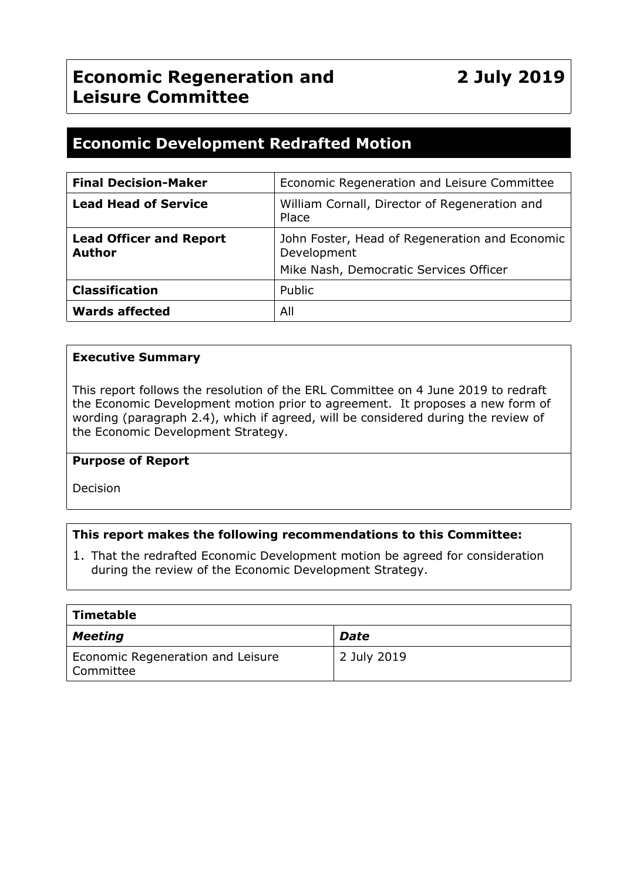## **Economic Regeneration and Leisure Committee**

### **Economic Development Redrafted Motion**

| <b>Final Decision-Maker</b>                     | Economic Regeneration and Leisure Committee                                                             |
|-------------------------------------------------|---------------------------------------------------------------------------------------------------------|
| <b>Lead Head of Service</b>                     | William Cornall, Director of Regeneration and<br>Place                                                  |
| <b>Lead Officer and Report</b><br><b>Author</b> | John Foster, Head of Regeneration and Economic<br>Development<br>Mike Nash, Democratic Services Officer |
| <b>Classification</b>                           | Public                                                                                                  |
| <b>Wards affected</b>                           | All                                                                                                     |

#### **Executive Summary**

This report follows the resolution of the ERL Committee on 4 June 2019 to redraft the Economic Development motion prior to agreement. It proposes a new form of wording (paragraph 2.4), which if agreed, will be considered during the review of the Economic Development Strategy.

#### **Purpose of Report**

Decision

#### **This report makes the following recommendations to this Committee:**

1. That the redrafted Economic Development motion be agreed for consideration during the review of the Economic Development Strategy.

| Timetable                                      |             |
|------------------------------------------------|-------------|
| <b>Meeting</b>                                 | Date        |
| Economic Regeneration and Leisure<br>Committee | 2 July 2019 |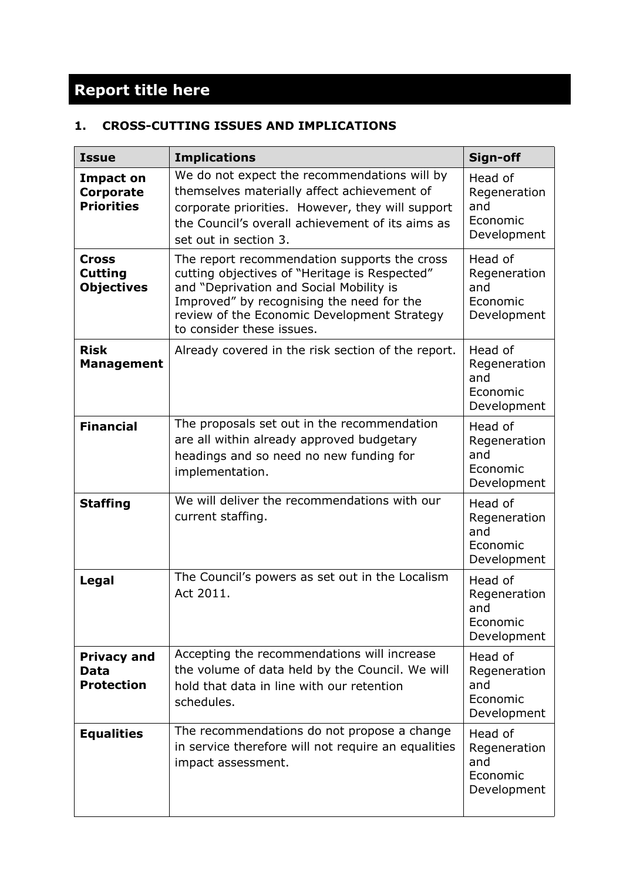# **Report title here**

#### **1. CROSS-CUTTING ISSUES AND IMPLICATIONS**

| <b>Issue</b>                                       | <b>Implications</b>                                                                                                                                                                                                                                               | Sign-off                                                  |
|----------------------------------------------------|-------------------------------------------------------------------------------------------------------------------------------------------------------------------------------------------------------------------------------------------------------------------|-----------------------------------------------------------|
| <b>Impact on</b><br>Corporate<br><b>Priorities</b> | We do not expect the recommendations will by<br>themselves materially affect achievement of<br>corporate priorities. However, they will support<br>the Council's overall achievement of its aims as<br>set out in section 3.                                      | Head of<br>Regeneration<br>and<br>Economic<br>Development |
| Cross<br><b>Cutting</b><br><b>Objectives</b>       | The report recommendation supports the cross<br>cutting objectives of "Heritage is Respected"<br>and "Deprivation and Social Mobility is<br>Improved" by recognising the need for the<br>review of the Economic Development Strategy<br>to consider these issues. | Head of<br>Regeneration<br>and<br>Economic<br>Development |
| <b>Risk</b><br><b>Management</b>                   | Already covered in the risk section of the report.                                                                                                                                                                                                                | Head of<br>Regeneration<br>and<br>Economic<br>Development |
| <b>Financial</b>                                   | The proposals set out in the recommendation<br>are all within already approved budgetary<br>headings and so need no new funding for<br>implementation.                                                                                                            | Head of<br>Regeneration<br>and<br>Economic<br>Development |
| <b>Staffing</b>                                    | We will deliver the recommendations with our<br>current staffing.                                                                                                                                                                                                 | Head of<br>Regeneration<br>and<br>Economic<br>Development |
| Legal                                              | The Council's powers as set out in the Localism<br>Act 2011.                                                                                                                                                                                                      | Head of<br>Regeneration<br>and<br>Economic<br>Development |
| <b>Privacy and</b><br>Data<br><b>Protection</b>    | Accepting the recommendations will increase<br>the volume of data held by the Council. We will<br>hold that data in line with our retention<br>schedules.                                                                                                         | Head of<br>Regeneration<br>and<br>Economic<br>Development |
| <b>Equalities</b>                                  | The recommendations do not propose a change<br>in service therefore will not require an equalities<br>impact assessment.                                                                                                                                          | Head of<br>Regeneration<br>and<br>Economic<br>Development |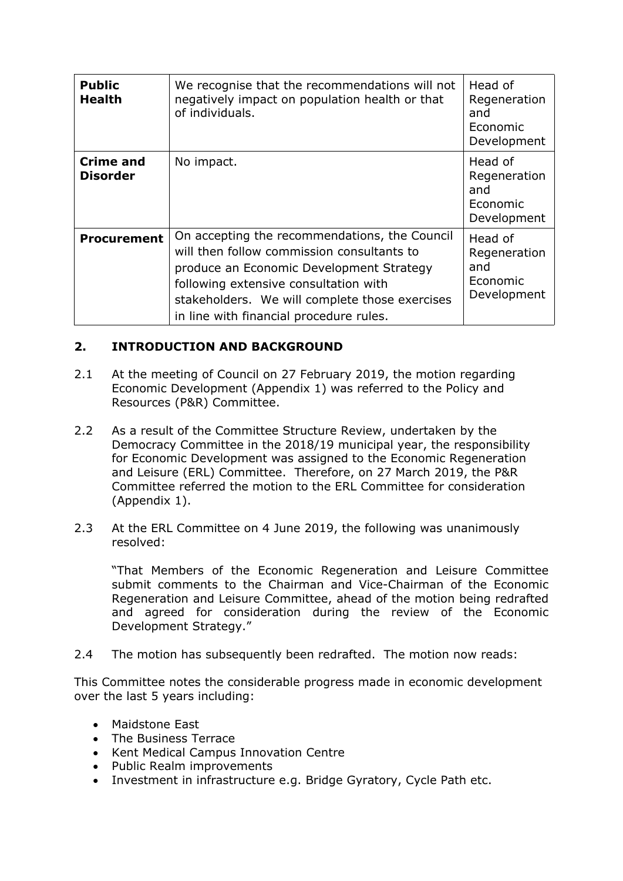| <b>Public</b><br><b>Health</b>      | We recognise that the recommendations will not<br>negatively impact on population health or that<br>of individuals.                                                                                                                                                           | Head of<br>Regeneration<br>and<br>Economic<br>Development |
|-------------------------------------|-------------------------------------------------------------------------------------------------------------------------------------------------------------------------------------------------------------------------------------------------------------------------------|-----------------------------------------------------------|
| <b>Crime and</b><br><b>Disorder</b> | No impact.                                                                                                                                                                                                                                                                    | Head of<br>Regeneration<br>and<br>Economic<br>Development |
| <b>Procurement</b>                  | On accepting the recommendations, the Council<br>will then follow commission consultants to<br>produce an Economic Development Strategy<br>following extensive consultation with<br>stakeholders. We will complete those exercises<br>in line with financial procedure rules. | Head of<br>Regeneration<br>and<br>Economic<br>Development |

#### **2. INTRODUCTION AND BACKGROUND**

- 2.1 At the meeting of Council on 27 February 2019, the motion regarding Economic Development (Appendix 1) was referred to the Policy and Resources (P&R) Committee.
- 2.2 As a result of the Committee Structure Review, undertaken by the Democracy Committee in the 2018/19 municipal year, the responsibility for Economic Development was assigned to the Economic Regeneration and Leisure (ERL) Committee. Therefore, on 27 March 2019, the P&R Committee referred the motion to the ERL Committee for consideration (Appendix 1).
- 2.3 At the ERL Committee on 4 June 2019, the following was unanimously resolved:

"That Members of the Economic Regeneration and Leisure Committee submit comments to the Chairman and Vice-Chairman of the Economic Regeneration and Leisure Committee, ahead of the motion being redrafted and agreed for consideration during the review of the Economic Development Strategy."

2.4 The motion has subsequently been redrafted. The motion now reads:

This Committee notes the considerable progress made in economic development over the last 5 years including:

- Maidstone East
- The Business Terrace
- Kent Medical Campus Innovation Centre
- Public Realm improvements
- Investment in infrastructure e.g. Bridge Gyratory, Cycle Path etc.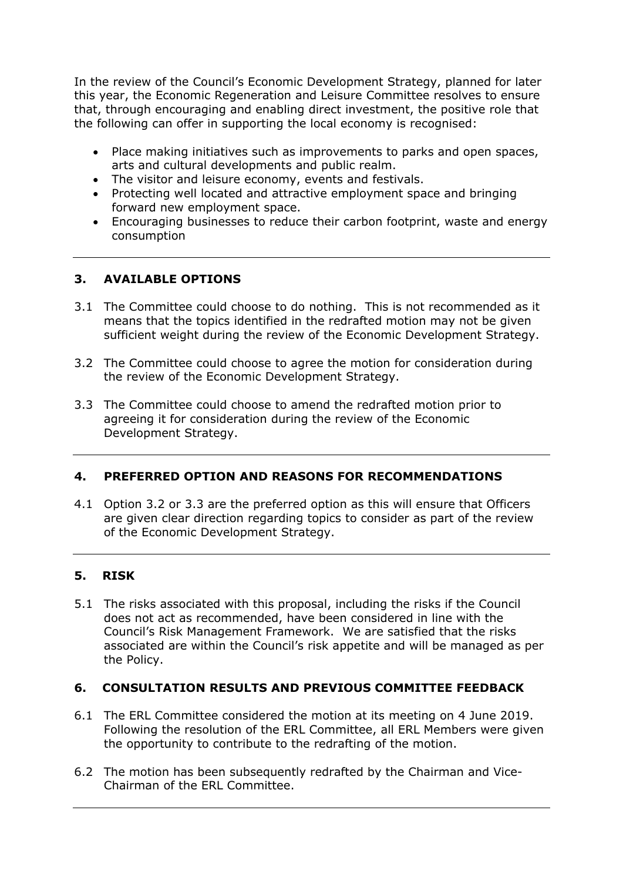In the review of the Council's Economic Development Strategy, planned for later this year, the Economic Regeneration and Leisure Committee resolves to ensure that, through encouraging and enabling direct investment, the positive role that the following can offer in supporting the local economy is recognised:

- Place making initiatives such as improvements to parks and open spaces, arts and cultural developments and public realm.
- The visitor and leisure economy, events and festivals.
- Protecting well located and attractive employment space and bringing forward new employment space.
- Encouraging businesses to reduce their carbon footprint, waste and energy consumption

#### **3. AVAILABLE OPTIONS**

- 3.1 The Committee could choose to do nothing. This is not recommended as it means that the topics identified in the redrafted motion may not be given sufficient weight during the review of the Economic Development Strategy.
- 3.2 The Committee could choose to agree the motion for consideration during the review of the Economic Development Strategy.
- 3.3 The Committee could choose to amend the redrafted motion prior to agreeing it for consideration during the review of the Economic Development Strategy.

#### **4. PREFERRED OPTION AND REASONS FOR RECOMMENDATIONS**

4.1 Option 3.2 or 3.3 are the preferred option as this will ensure that Officers are given clear direction regarding topics to consider as part of the review of the Economic Development Strategy.

#### **5. RISK**

5.1 The risks associated with this proposal, including the risks if the Council does not act as recommended, have been considered in line with the Council's Risk Management Framework. We are satisfied that the risks associated are within the Council's risk appetite and will be managed as per the Policy.

#### **6. CONSULTATION RESULTS AND PREVIOUS COMMITTEE FEEDBACK**

- 6.1 The ERL Committee considered the motion at its meeting on 4 June 2019. Following the resolution of the ERL Committee, all ERL Members were given the opportunity to contribute to the redrafting of the motion.
- 6.2 The motion has been subsequently redrafted by the Chairman and Vice-Chairman of the ERL Committee.